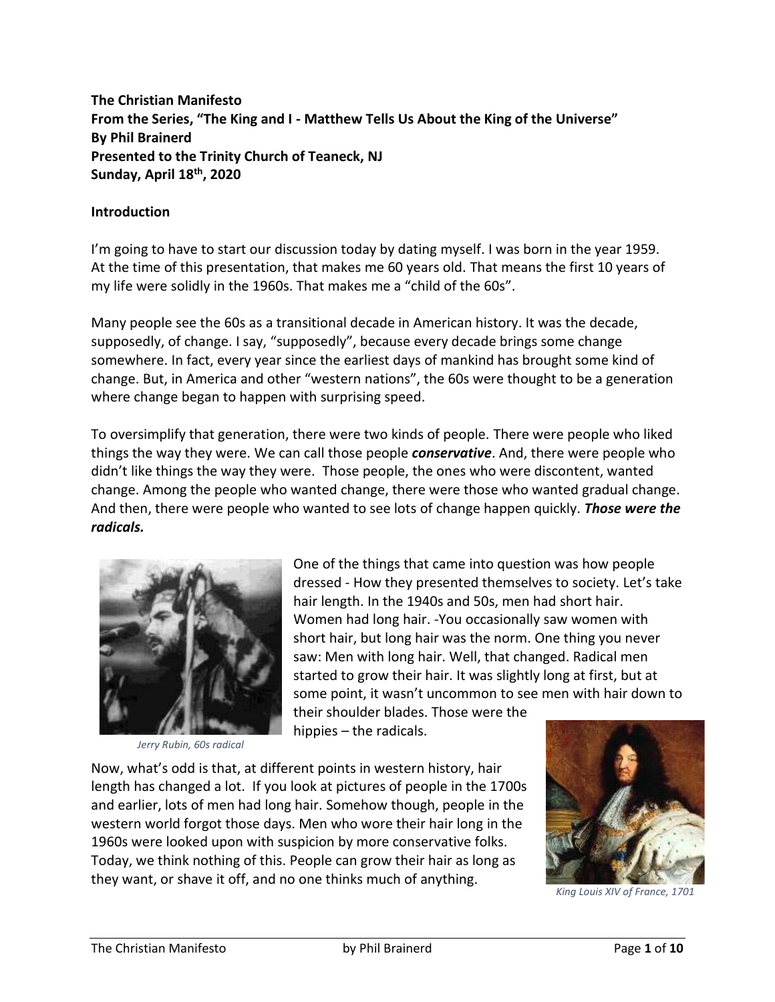**The Christian Manifesto From the Series, "The King and I - Matthew Tells Us About the King of the Universe" By Phil Brainerd Presented to the Trinity Church of Teaneck, NJ Sunday, April 18th, 2020**

#### **Introduction**

I'm going to have to start our discussion today by dating myself. I was born in the year 1959. At the time of this presentation, that makes me 60 years old. That means the first 10 years of my life were solidly in the 1960s. That makes me a "child of the 60s".

Many people see the 60s as a transitional decade in American history. It was the decade, supposedly, of change. I say, "supposedly", because every decade brings some change somewhere. In fact, every year since the earliest days of mankind has brought some kind of change. But, in America and other "western nations", the 60s were thought to be a generation where change began to happen with surprising speed.

To oversimplify that generation, there were two kinds of people. There were people who liked things the way they were. We can call those people *conservative*. And, there were people who didn't like things the way they were. Those people, the ones who were discontent, wanted change. Among the people who wanted change, there were those who wanted gradual change. And then, there were people who wanted to see lots of change happen quickly. *Those were the radicals.*



*Jerry Rubin, 60s radical*

One of the things that came into question was how people dressed - How they presented themselves to society. Let's take hair length. In the 1940s and 50s, men had short hair. Women had long hair. -You occasionally saw women with short hair, but long hair was the norm. One thing you never saw: Men with long hair. Well, that changed. Radical men started to grow their hair. It was slightly long at first, but at some point, it wasn't uncommon to see men with hair down to

their shoulder blades. Those were the hippies – the radicals.

Now, what's odd is that, at different points in western history, hair length has changed a lot. If you look at pictures of people in the 1700s and earlier, lots of men had long hair. Somehow though, people in the western world forgot those days. Men who wore their hair long in the 1960s were looked upon with suspicion by more conservative folks. Today, we think nothing of this. People can grow their hair as long as they want, or shave it off, and no one thinks much of anything.



*King Louis XIV of France, 1701*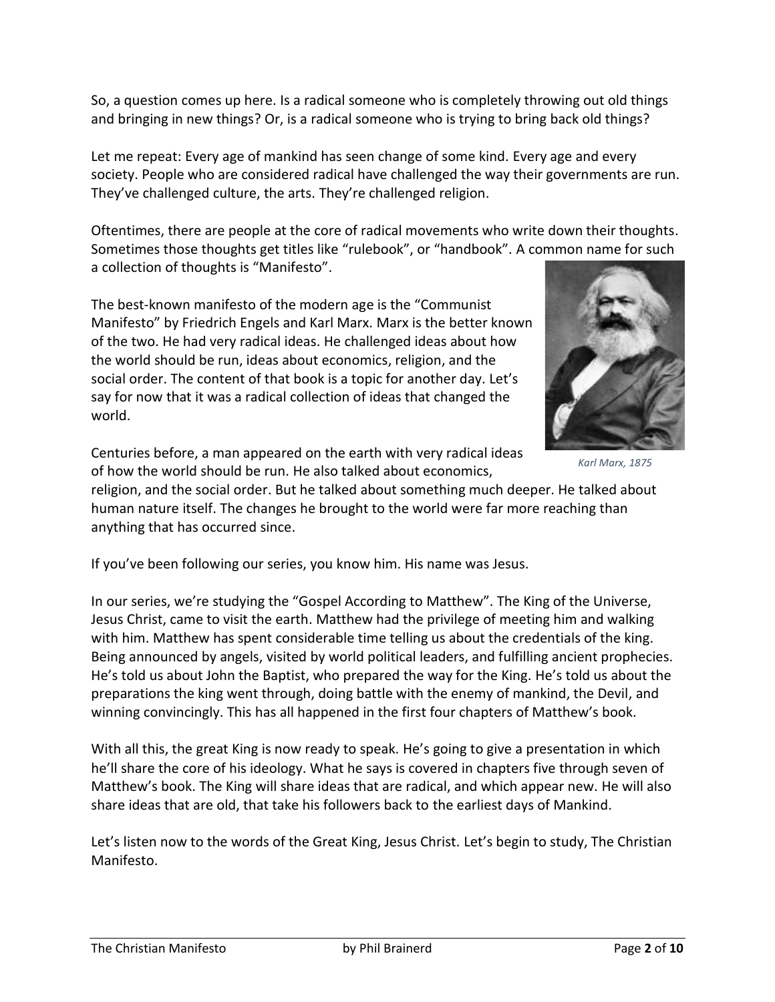So, a question comes up here. Is a radical someone who is completely throwing out old things and bringing in new things? Or, is a radical someone who is trying to bring back old things?

Let me repeat: Every age of mankind has seen change of some kind. Every age and every society. People who are considered radical have challenged the way their governments are run. They've challenged culture, the arts. They're challenged religion.

Oftentimes, there are people at the core of radical movements who write down their thoughts. Sometimes those thoughts get titles like "rulebook", or "handbook". A common name for such a collection of thoughts is "Manifesto".

The best-known manifesto of the modern age is the "Communist Manifesto" by Friedrich Engels and Karl Marx. Marx is the better known of the two. He had very radical ideas. He challenged ideas about how the world should be run, ideas about economics, religion, and the social order. The content of that book is a topic for another day. Let's say for now that it was a radical collection of ideas that changed the world.



*Karl Marx, 1875*

Centuries before, a man appeared on the earth with very radical ideas of how the world should be run. He also talked about economics,

religion, and the social order. But he talked about something much deeper. He talked about human nature itself. The changes he brought to the world were far more reaching than anything that has occurred since.

If you've been following our series, you know him. His name was Jesus.

In our series, we're studying the "Gospel According to Matthew". The King of the Universe, Jesus Christ, came to visit the earth. Matthew had the privilege of meeting him and walking with him. Matthew has spent considerable time telling us about the credentials of the king. Being announced by angels, visited by world political leaders, and fulfilling ancient prophecies. He's told us about John the Baptist, who prepared the way for the King. He's told us about the preparations the king went through, doing battle with the enemy of mankind, the Devil, and winning convincingly. This has all happened in the first four chapters of Matthew's book.

With all this, the great King is now ready to speak. He's going to give a presentation in which he'll share the core of his ideology. What he says is covered in chapters five through seven of Matthew's book. The King will share ideas that are radical, and which appear new. He will also share ideas that are old, that take his followers back to the earliest days of Mankind.

Let's listen now to the words of the Great King, Jesus Christ. Let's begin to study, The Christian Manifesto.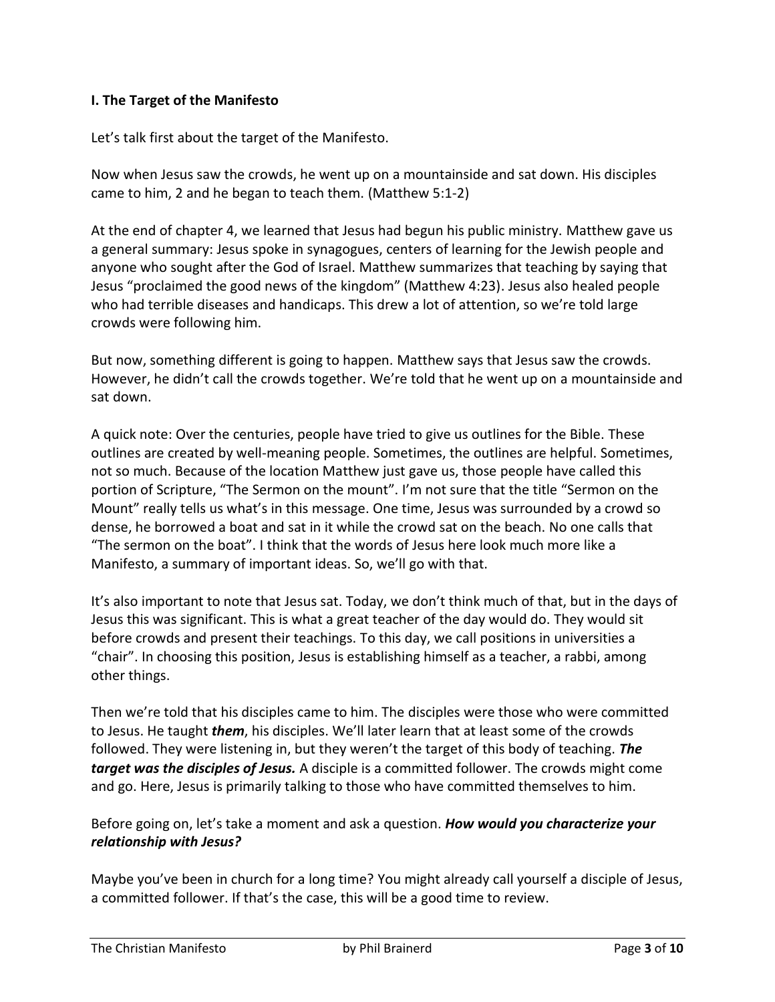### **I. The Target of the Manifesto**

Let's talk first about the target of the Manifesto.

Now when Jesus saw the crowds, he went up on a mountainside and sat down. His disciples came to him, 2 and he began to teach them. (Matthew 5:1-2)

At the end of chapter 4, we learned that Jesus had begun his public ministry. Matthew gave us a general summary: Jesus spoke in synagogues, centers of learning for the Jewish people and anyone who sought after the God of Israel. Matthew summarizes that teaching by saying that Jesus "proclaimed the good news of the kingdom" (Matthew 4:23). Jesus also healed people who had terrible diseases and handicaps. This drew a lot of attention, so we're told large crowds were following him.

But now, something different is going to happen. Matthew says that Jesus saw the crowds. However, he didn't call the crowds together. We're told that he went up on a mountainside and sat down.

A quick note: Over the centuries, people have tried to give us outlines for the Bible. These outlines are created by well-meaning people. Sometimes, the outlines are helpful. Sometimes, not so much. Because of the location Matthew just gave us, those people have called this portion of Scripture, "The Sermon on the mount". I'm not sure that the title "Sermon on the Mount" really tells us what's in this message. One time, Jesus was surrounded by a crowd so dense, he borrowed a boat and sat in it while the crowd sat on the beach. No one calls that "The sermon on the boat". I think that the words of Jesus here look much more like a Manifesto, a summary of important ideas. So, we'll go with that.

It's also important to note that Jesus sat. Today, we don't think much of that, but in the days of Jesus this was significant. This is what a great teacher of the day would do. They would sit before crowds and present their teachings. To this day, we call positions in universities a "chair". In choosing this position, Jesus is establishing himself as a teacher, a rabbi, among other things.

Then we're told that his disciples came to him. The disciples were those who were committed to Jesus. He taught *them*, his disciples. We'll later learn that at least some of the crowds followed. They were listening in, but they weren't the target of this body of teaching. *The target was the disciples of Jesus.* A disciple is a committed follower. The crowds might come and go. Here, Jesus is primarily talking to those who have committed themselves to him.

Before going on, let's take a moment and ask a question. *How would you characterize your relationship with Jesus?*

Maybe you've been in church for a long time? You might already call yourself a disciple of Jesus, a committed follower. If that's the case, this will be a good time to review.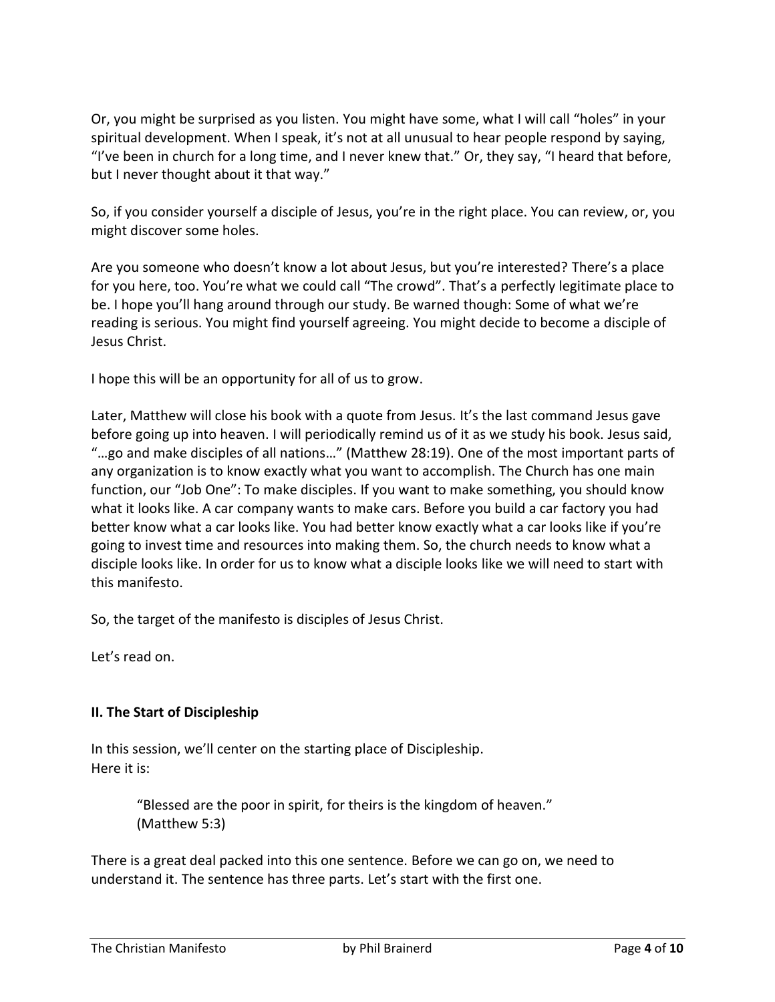Or, you might be surprised as you listen. You might have some, what I will call "holes" in your spiritual development. When I speak, it's not at all unusual to hear people respond by saying, "I've been in church for a long time, and I never knew that." Or, they say, "I heard that before, but I never thought about it that way."

So, if you consider yourself a disciple of Jesus, you're in the right place. You can review, or, you might discover some holes.

Are you someone who doesn't know a lot about Jesus, but you're interested? There's a place for you here, too. You're what we could call "The crowd". That's a perfectly legitimate place to be. I hope you'll hang around through our study. Be warned though: Some of what we're reading is serious. You might find yourself agreeing. You might decide to become a disciple of Jesus Christ.

I hope this will be an opportunity for all of us to grow.

Later, Matthew will close his book with a quote from Jesus. It's the last command Jesus gave before going up into heaven. I will periodically remind us of it as we study his book. Jesus said, "…go and make disciples of all nations…" (Matthew 28:19). One of the most important parts of any organization is to know exactly what you want to accomplish. The Church has one main function, our "Job One": To make disciples. If you want to make something, you should know what it looks like. A car company wants to make cars. Before you build a car factory you had better know what a car looks like. You had better know exactly what a car looks like if you're going to invest time and resources into making them. So, the church needs to know what a disciple looks like. In order for us to know what a disciple looks like we will need to start with this manifesto.

So, the target of the manifesto is disciples of Jesus Christ.

Let's read on.

# **II. The Start of Discipleship**

In this session, we'll center on the starting place of Discipleship. Here it is:

> "Blessed are the poor in spirit, for theirs is the kingdom of heaven." (Matthew 5:3)

There is a great deal packed into this one sentence. Before we can go on, we need to understand it. The sentence has three parts. Let's start with the first one.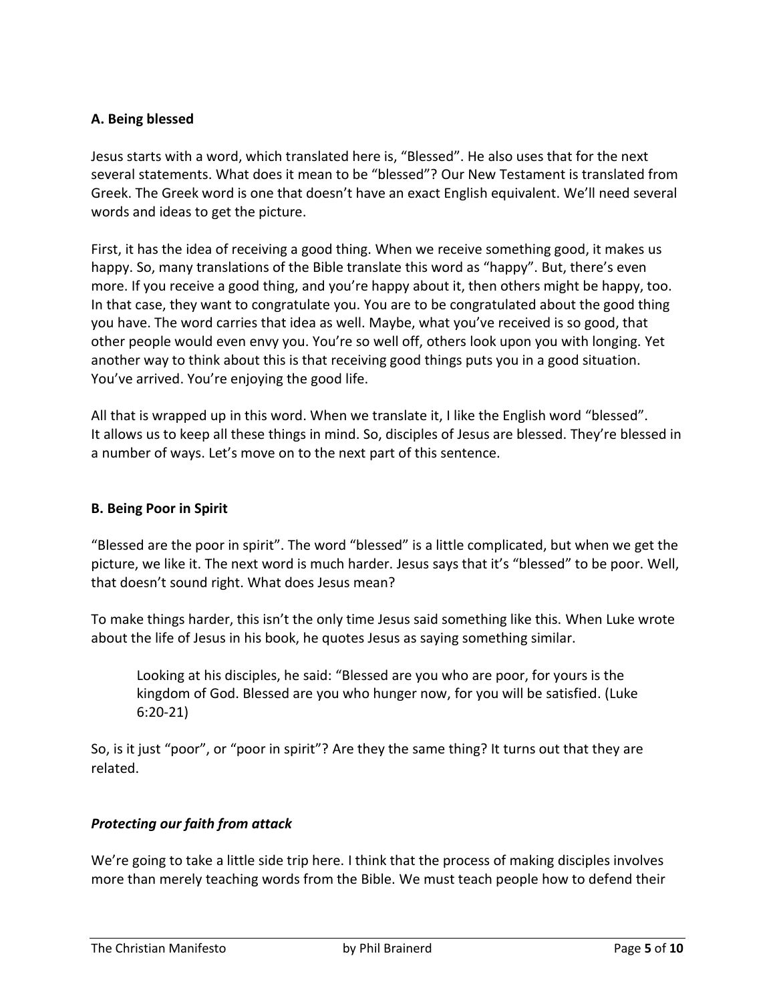### **A. Being blessed**

Jesus starts with a word, which translated here is, "Blessed". He also uses that for the next several statements. What does it mean to be "blessed"? Our New Testament is translated from Greek. The Greek word is one that doesn't have an exact English equivalent. We'll need several words and ideas to get the picture.

First, it has the idea of receiving a good thing. When we receive something good, it makes us happy. So, many translations of the Bible translate this word as "happy". But, there's even more. If you receive a good thing, and you're happy about it, then others might be happy, too. In that case, they want to congratulate you. You are to be congratulated about the good thing you have. The word carries that idea as well. Maybe, what you've received is so good, that other people would even envy you. You're so well off, others look upon you with longing. Yet another way to think about this is that receiving good things puts you in a good situation. You've arrived. You're enjoying the good life.

All that is wrapped up in this word. When we translate it, I like the English word "blessed". It allows us to keep all these things in mind. So, disciples of Jesus are blessed. They're blessed in a number of ways. Let's move on to the next part of this sentence.

### **B. Being Poor in Spirit**

"Blessed are the poor in spirit". The word "blessed" is a little complicated, but when we get the picture, we like it. The next word is much harder. Jesus says that it's "blessed" to be poor. Well, that doesn't sound right. What does Jesus mean?

To make things harder, this isn't the only time Jesus said something like this. When Luke wrote about the life of Jesus in his book, he quotes Jesus as saying something similar.

Looking at his disciples, he said: "Blessed are you who are poor, for yours is the kingdom of God. Blessed are you who hunger now, for you will be satisfied. (Luke 6:20-21)

So, is it just "poor", or "poor in spirit"? Are they the same thing? It turns out that they are related.

#### *Protecting our faith from attack*

We're going to take a little side trip here. I think that the process of making disciples involves more than merely teaching words from the Bible. We must teach people how to defend their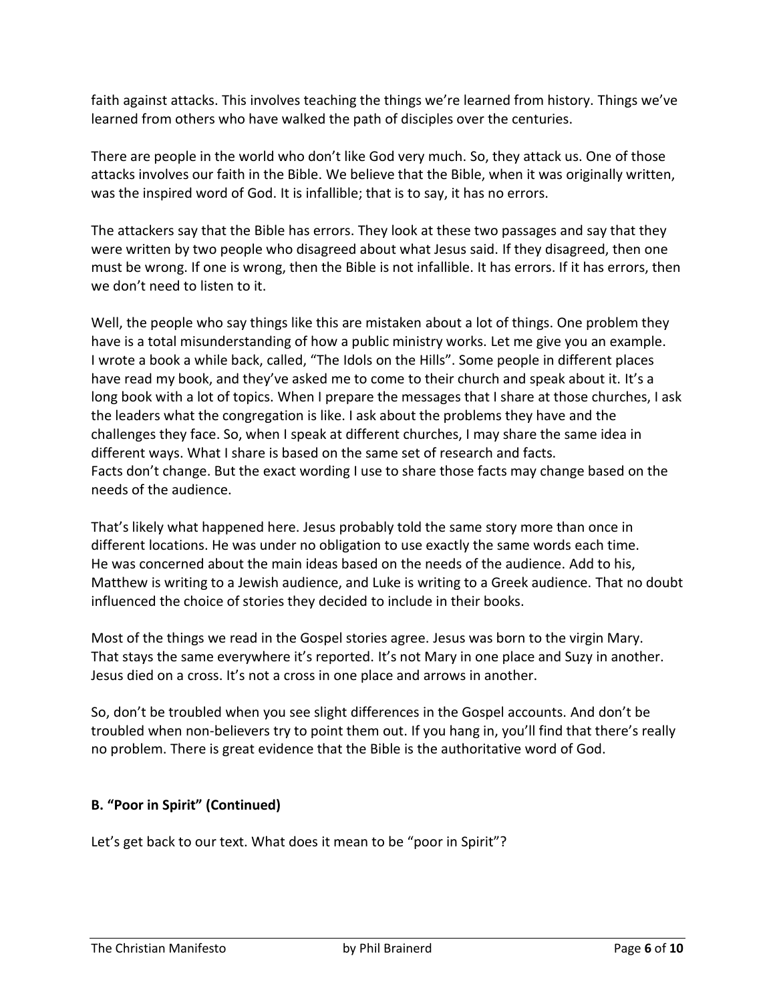faith against attacks. This involves teaching the things we're learned from history. Things we've learned from others who have walked the path of disciples over the centuries.

There are people in the world who don't like God very much. So, they attack us. One of those attacks involves our faith in the Bible. We believe that the Bible, when it was originally written, was the inspired word of God. It is infallible; that is to say, it has no errors.

The attackers say that the Bible has errors. They look at these two passages and say that they were written by two people who disagreed about what Jesus said. If they disagreed, then one must be wrong. If one is wrong, then the Bible is not infallible. It has errors. If it has errors, then we don't need to listen to it.

Well, the people who say things like this are mistaken about a lot of things. One problem they have is a total misunderstanding of how a public ministry works. Let me give you an example. I wrote a book a while back, called, "The Idols on the Hills". Some people in different places have read my book, and they've asked me to come to their church and speak about it. It's a long book with a lot of topics. When I prepare the messages that I share at those churches, I ask the leaders what the congregation is like. I ask about the problems they have and the challenges they face. So, when I speak at different churches, I may share the same idea in different ways. What I share is based on the same set of research and facts. Facts don't change. But the exact wording I use to share those facts may change based on the needs of the audience.

That's likely what happened here. Jesus probably told the same story more than once in different locations. He was under no obligation to use exactly the same words each time. He was concerned about the main ideas based on the needs of the audience. Add to his, Matthew is writing to a Jewish audience, and Luke is writing to a Greek audience. That no doubt influenced the choice of stories they decided to include in their books.

Most of the things we read in the Gospel stories agree. Jesus was born to the virgin Mary. That stays the same everywhere it's reported. It's not Mary in one place and Suzy in another. Jesus died on a cross. It's not a cross in one place and arrows in another.

So, don't be troubled when you see slight differences in the Gospel accounts. And don't be troubled when non-believers try to point them out. If you hang in, you'll find that there's really no problem. There is great evidence that the Bible is the authoritative word of God.

# **B. "Poor in Spirit" (Continued)**

Let's get back to our text. What does it mean to be "poor in Spirit"?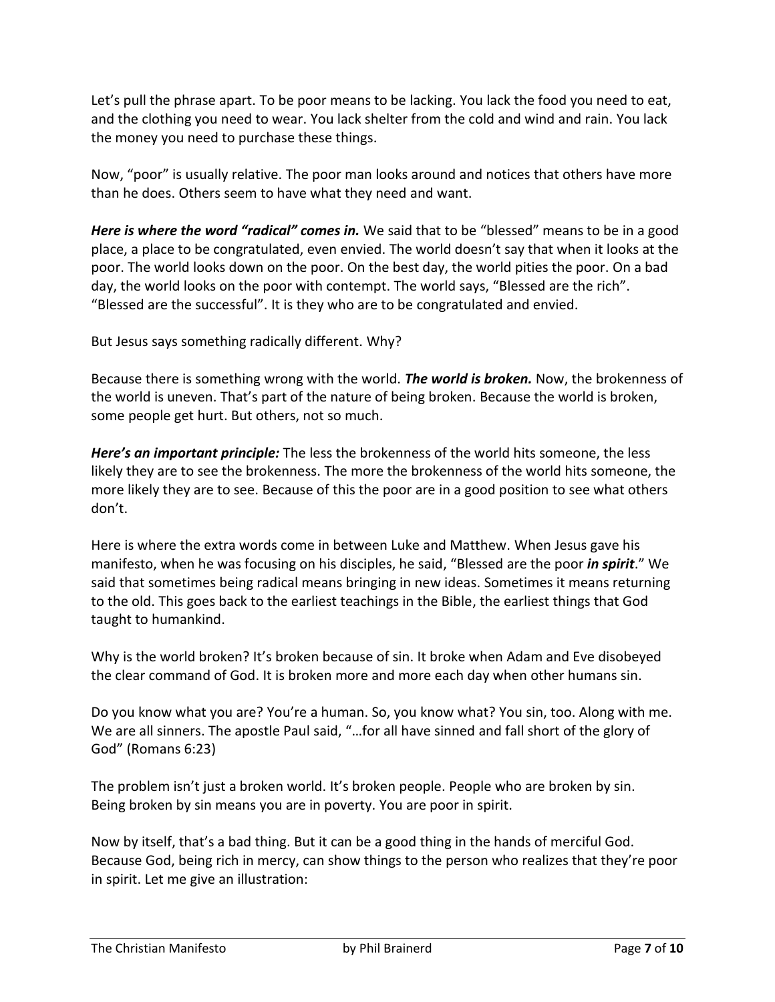Let's pull the phrase apart. To be poor means to be lacking. You lack the food you need to eat, and the clothing you need to wear. You lack shelter from the cold and wind and rain. You lack the money you need to purchase these things.

Now, "poor" is usually relative. The poor man looks around and notices that others have more than he does. Others seem to have what they need and want.

*Here is where the word "radical" comes in.* We said that to be "blessed" means to be in a good place, a place to be congratulated, even envied. The world doesn't say that when it looks at the poor. The world looks down on the poor. On the best day, the world pities the poor. On a bad day, the world looks on the poor with contempt. The world says, "Blessed are the rich". "Blessed are the successful". It is they who are to be congratulated and envied.

But Jesus says something radically different. Why?

Because there is something wrong with the world. *The world is broken.* Now, the brokenness of the world is uneven. That's part of the nature of being broken. Because the world is broken, some people get hurt. But others, not so much.

*Here's an important principle:* The less the brokenness of the world hits someone, the less likely they are to see the brokenness. The more the brokenness of the world hits someone, the more likely they are to see. Because of this the poor are in a good position to see what others don't.

Here is where the extra words come in between Luke and Matthew. When Jesus gave his manifesto, when he was focusing on his disciples, he said, "Blessed are the poor *in spirit*." We said that sometimes being radical means bringing in new ideas. Sometimes it means returning to the old. This goes back to the earliest teachings in the Bible, the earliest things that God taught to humankind.

Why is the world broken? It's broken because of sin. It broke when Adam and Eve disobeyed the clear command of God. It is broken more and more each day when other humans sin.

Do you know what you are? You're a human. So, you know what? You sin, too. Along with me. We are all sinners. The apostle Paul said, "…for all have sinned and fall short of the glory of God" (Romans 6:23)

The problem isn't just a broken world. It's broken people. People who are broken by sin. Being broken by sin means you are in poverty. You are poor in spirit.

Now by itself, that's a bad thing. But it can be a good thing in the hands of merciful God. Because God, being rich in mercy, can show things to the person who realizes that they're poor in spirit. Let me give an illustration: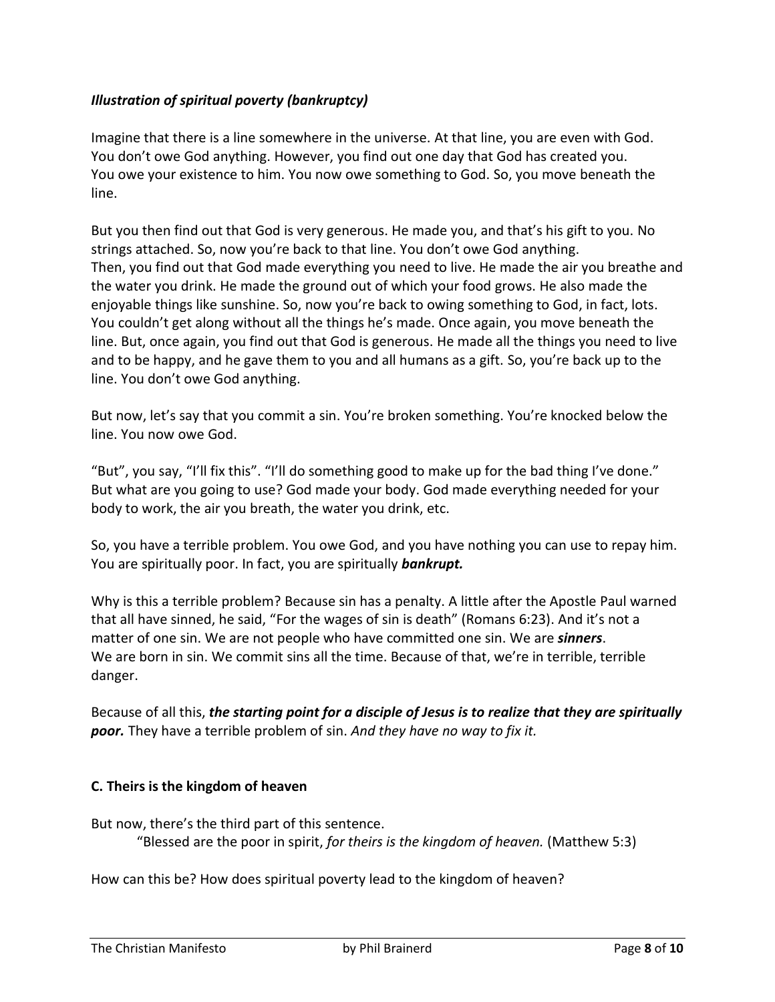# *Illustration of spiritual poverty (bankruptcy)*

Imagine that there is a line somewhere in the universe. At that line, you are even with God. You don't owe God anything. However, you find out one day that God has created you. You owe your existence to him. You now owe something to God. So, you move beneath the line.

But you then find out that God is very generous. He made you, and that's his gift to you. No strings attached. So, now you're back to that line. You don't owe God anything. Then, you find out that God made everything you need to live. He made the air you breathe and the water you drink. He made the ground out of which your food grows. He also made the enjoyable things like sunshine. So, now you're back to owing something to God, in fact, lots. You couldn't get along without all the things he's made. Once again, you move beneath the line. But, once again, you find out that God is generous. He made all the things you need to live and to be happy, and he gave them to you and all humans as a gift. So, you're back up to the line. You don't owe God anything.

But now, let's say that you commit a sin. You're broken something. You're knocked below the line. You now owe God.

"But", you say, "I'll fix this". "I'll do something good to make up for the bad thing I've done." But what are you going to use? God made your body. God made everything needed for your body to work, the air you breath, the water you drink, etc.

So, you have a terrible problem. You owe God, and you have nothing you can use to repay him. You are spiritually poor. In fact, you are spiritually *bankrupt.*

Why is this a terrible problem? Because sin has a penalty. A little after the Apostle Paul warned that all have sinned, he said, "For the wages of sin is death" (Romans 6:23). And it's not a matter of one sin. We are not people who have committed one sin. We are *sinners*. We are born in sin. We commit sins all the time. Because of that, we're in terrible, terrible danger.

Because of all this, *the starting point for a disciple of Jesus is to realize that they are spiritually poor.* They have a terrible problem of sin. *And they have no way to fix it.*

# **C. Theirs is the kingdom of heaven**

But now, there's the third part of this sentence.

"Blessed are the poor in spirit, *for theirs is the kingdom of heaven.* (Matthew 5:3)

How can this be? How does spiritual poverty lead to the kingdom of heaven?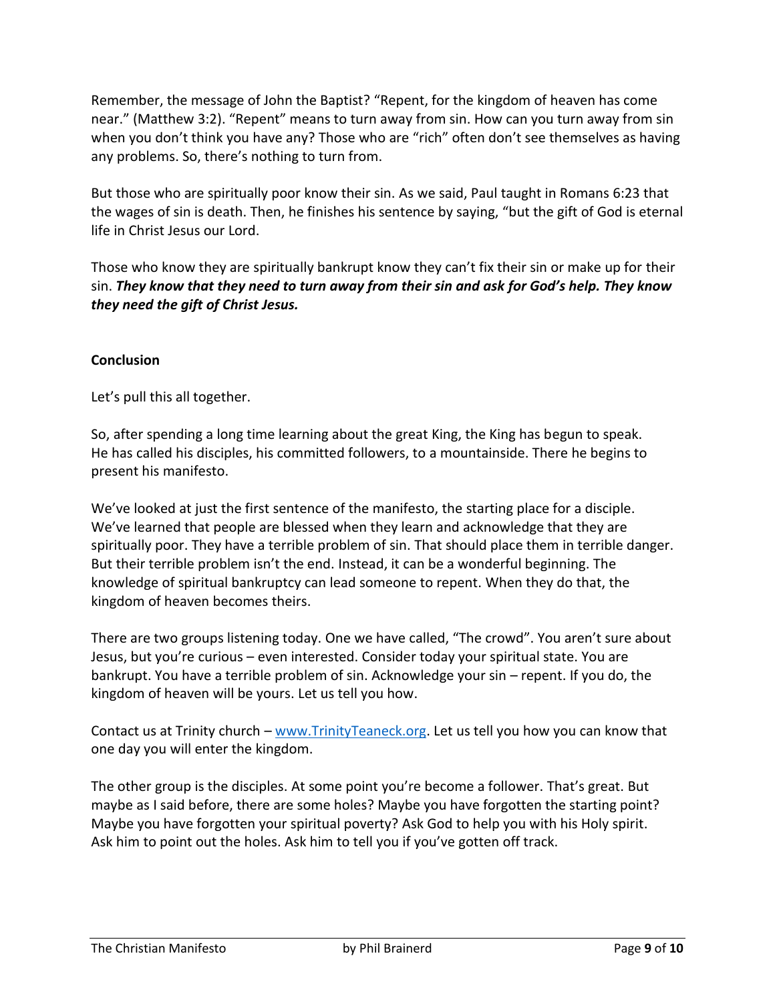Remember, the message of John the Baptist? "Repent, for the kingdom of heaven has come near." (Matthew 3:2). "Repent" means to turn away from sin. How can you turn away from sin when you don't think you have any? Those who are "rich" often don't see themselves as having any problems. So, there's nothing to turn from.

But those who are spiritually poor know their sin. As we said, Paul taught in Romans 6:23 that the wages of sin is death. Then, he finishes his sentence by saying, "but the gift of God is eternal life in Christ Jesus our Lord.

Those who know they are spiritually bankrupt know they can't fix their sin or make up for their sin. *They know that they need to turn away from their sin and ask for God's help. They know they need the gift of Christ Jesus.*

### **Conclusion**

Let's pull this all together.

So, after spending a long time learning about the great King, the King has begun to speak. He has called his disciples, his committed followers, to a mountainside. There he begins to present his manifesto.

We've looked at just the first sentence of the manifesto, the starting place for a disciple. We've learned that people are blessed when they learn and acknowledge that they are spiritually poor. They have a terrible problem of sin. That should place them in terrible danger. But their terrible problem isn't the end. Instead, it can be a wonderful beginning. The knowledge of spiritual bankruptcy can lead someone to repent. When they do that, the kingdom of heaven becomes theirs.

There are two groups listening today. One we have called, "The crowd". You aren't sure about Jesus, but you're curious – even interested. Consider today your spiritual state. You are bankrupt. You have a terrible problem of sin. Acknowledge your sin – repent. If you do, the kingdom of heaven will be yours. Let us tell you how.

Contact us at Trinity church – [www.TrinityTeaneck.org.](www.TrinityTeaneck.org) Let us tell you how you can know that one day you will enter the kingdom.

The other group is the disciples. At some point you're become a follower. That's great. But maybe as I said before, there are some holes? Maybe you have forgotten the starting point? Maybe you have forgotten your spiritual poverty? Ask God to help you with his Holy spirit. Ask him to point out the holes. Ask him to tell you if you've gotten off track.